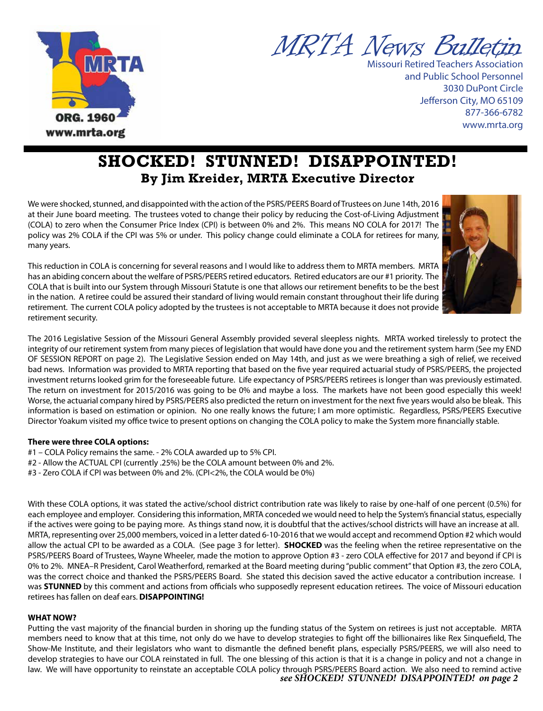



Missouri Retired Teachers Association and Public School Personnel 3030 DuPont Circle Jefferson City, MO 65109 877-366-6782 www.mrta.org

# **SHOCKED! STUNNED! DISAPPOINTED! By Jim Kreider, MRTA Executive Director**

We were shocked, stunned, and disappointed with the action of the PSRS/PEERS Board of Trustees on June 14th, 2016 at their June board meeting. The trustees voted to change their policy by reducing the Cost-of-Living Adjustment (COLA) to zero when the Consumer Price Index (CPI) is between 0% and 2%. This means NO COLA for 2017! The policy was 2% COLA if the CPI was 5% or under. This policy change could eliminate a COLA for retirees for many, many years.

This reduction in COLA is concerning for several reasons and I would like to address them to MRTA members. MRTA has an abiding concern about the welfare of PSRS/PEERS retired educators. Retired educators are our #1 priority. The COLA that is built into our System through Missouri Statute is one that allows our retirement benefits to be the best in the nation. A retiree could be assured their standard of living would remain constant throughout their life during retirement. The current COLA policy adopted by the trustees is not acceptable to MRTA because it does not provide retirement security.

The 2016 Legislative Session of the Missouri General Assembly provided several sleepless nights. MRTA worked tirelessly to protect the integrity of our retirement system from many pieces of legislation that would have done you and the retirement system harm (See my END OF SESSION REPORT on page 2). The Legislative Session ended on May 14th, and just as we were breathing a sigh of relief, we received bad news. Information was provided to MRTA reporting that based on the five year required actuarial study of PSRS/PEERS, the projected investment returns looked grim for the foreseeable future. Life expectancy of PSRS/PEERS retirees is longer than was previously estimated. The return on investment for 2015/2016 was going to be 0% and maybe a loss. The markets have not been good especially this week! Worse, the actuarial company hired by PSRS/PEERS also predicted the return on investment for the next five years would also be bleak. This information is based on estimation or opinion. No one really knows the future; I am more optimistic. Regardless, PSRS/PEERS Executive Director Yoakum visited my office twice to present options on changing the COLA policy to make the System more financially stable.

### **There were three COLA options:**

- #1 COLA Policy remains the same. 2% COLA awarded up to 5% CPI.
- #2 Allow the ACTUAL CPI (currently .25%) be the COLA amount between 0% and 2%.
- #3 Zero COLA if CPI was between 0% and 2%. (CPI<2%, the COLA would be 0%)

With these COLA options, it was stated the active/school district contribution rate was likely to raise by one-half of one percent (0.5%) for each employee and employer. Considering this information, MRTA conceded we would need to help the System's financial status, especially if the actives were going to be paying more. As things stand now, it is doubtful that the actives/school districts will have an increase at all. MRTA, representing over 25,000 members, voiced in a letter dated 6-10-2016 that we would accept and recommend Option #2 which would allow the actual CPI to be awarded as a COLA. (See page 3 for letter). **SHOCKED** was the feeling when the retiree representative on the PSRS/PEERS Board of Trustees, Wayne Wheeler, made the motion to approve Option #3 - zero COLA effective for 2017 and beyond if CPI is 0% to 2%. MNEA–R President, Carol Weatherford, remarked at the Board meeting during "public comment" that Option #3, the zero COLA, was the correct choice and thanked the PSRS/PEERS Board. She stated this decision saved the active educator a contribution increase. I was **STUNNED** by this comment and actions from officials who supposedly represent education retirees. The voice of Missouri education retirees has fallen on deaf ears. **DISAPPOINTING!** 

### **WHAT NOW?**

Putting the vast majority of the financial burden in shoring up the funding status of the System on retirees is just not acceptable. MRTA members need to know that at this time, not only do we have to develop strategies to fight off the billionaires like Rex Sinquefield, The Show-Me Institute, and their legislators who want to dismantle the defined benefit plans, especially PSRS/PEERS, we will also need to develop strategies to have our COLA reinstated in full. The one blessing of this action is that it is a change in policy and not a change in law. We will have opportunity to reinstate an acceptable COLA policy through PSRS/PEERS Board action. We also need to remind active *see SHOCKED! STUNNED! DISAPPOINTED! on page 2*

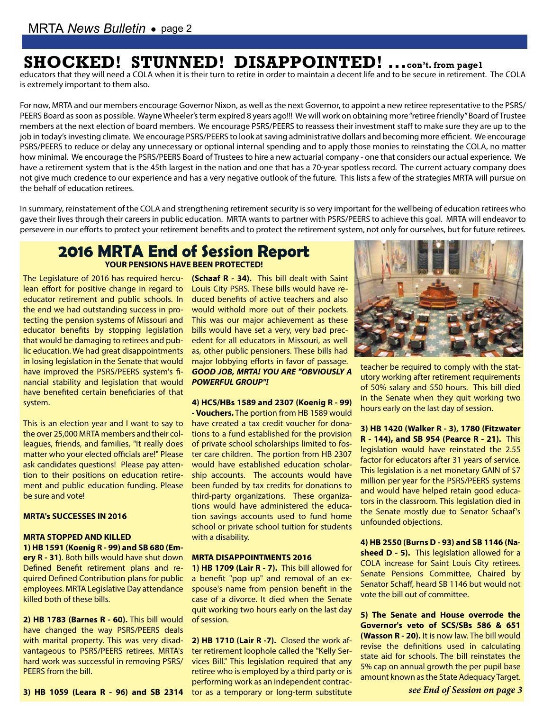# **SHOCKED! STUNNED! DISAPPOINTED! ...con't. from page1**

educators that they will need a COLA when it is their turn to retire in order to maintain a decent life and to be secure in retirement. The COLA is extremely important to them also.

For now, MRTA and our members encourage Governor Nixon, as well as the next Governor, to appoint a new retiree representative to the PSRS/ PEERS Board as soon as possible. Wayne Wheeler's term expired 8 years ago!!! We will work on obtaining more "retiree friendly" Board of Trustee members at the next election of board members. We encourage PSRS/PEERS to reassess their investment staff to make sure they are up to the job in today's investing climate. We encourage PSRS/PEERS to look at saving administrative dollars and becoming more efficient. We encourage PSRS/PEERS to reduce or delay any unnecessary or optional internal spending and to apply those monies to reinstating the COLA, no matter how minimal. We encourage the PSRS/PEERS Board of Trustees to hire a new actuarial company - one that considers our actual experience. We have a retirement system that is the 45th largest in the nation and one that has a 70-year spotless record. The current actuary company does not give much credence to our experience and has a very negative outlook of the future. This lists a few of the strategies MRTA will pursue on the behalf of education retirees.

In summary, reinstatement of the COLA and strengthening retirement security is so very important for the wellbeing of education retirees who gave their lives through their careers in public education. MRTA wants to partner with PSRS/PEERS to achieve this goal. MRTA will endeavor to persevere in our efforts to protect your retirement benefits and to protect the retirement system, not only for ourselves, but for future retirees.

## **2016 MRTA End of Session Report YOUR PENSIONS HAVE BEEN PROTECTED!**

The Legislature of 2016 has required hercu-**(Schaaf R - 34).** This bill dealt with Saint lean effort for positive change in regard to educator retirement and public schools. In the end we had outstanding success in protecting the pension systems of Missouri and educator benefits by stopping legislation that would be damaging to retirees and public education. We had great disappointments in losing legislation in the Senate that would have improved the PSRS/PEERS system's financial stability and legislation that would have benefited certain beneficiaries of that system.

This is an election year and I want to say to the over 25,000 MRTA members and their colleagues, friends, and families, "It really does matter who your elected officials are!" Please ask candidates questions! Please pay attention to their positions on education retirement and public education funding. Please be sure and vote!

#### **MRTA's SUCCESSES IN 2016**

#### **MRTA STOPPED AND KILLED**

**1) HB 1591 (Koenig R - 99) and SB 680 (Emery R - 31)**. Both bills would have shut down Defined Benefit retirement plans and required Defined Contribution plans for public employees. MRTA Legislative Day attendance killed both of these bills.

**2) HB 1783 (Barnes R - 60).** This bill would have changed the way PSRS/PEERS deals with marital property. This was very disadvantageous to PSRS/PEERS retirees. MRTA's hard work was successful in removing PSRS/ PEERS from the bill.

Louis City PSRS. These bills would have reduced benefits of active teachers and also would withold more out of their pockets. This was our major achievement as these bills would have set a very, very bad precedent for all educators in Missouri, as well as, other public pensioners. These bills had major lobbying efforts in favor of passage. *GOOD JOB, MRTA! YOU ARE "OBVIOUSLY A POWERFUL GROUP"!*

**4) HCS/HBs 1589 and 2307 (Koenig R - 99) - Vouchers.** The portion from HB 1589 would have created a tax credit voucher for donations to a fund established for the provision of private school scholarships limited to foster care children. The portion from HB 2307 would have established education scholarship accounts. The accounts would have been funded by tax credits for donations to third-party organizations. These organizations would have administered the education savings accounts used to fund home school or private school tuition for students with a disability.

#### **MRTA DISAPPOINTMENTS 2016**

**1) HB 1709 (Lair R - 7).** This bill allowed for a benefit "pop up" and removal of an exspouse's name from pension benefit in the case of a divorce. It died when the Senate quit working two hours early on the last day of session.

**3) HB 1059 (Leara R - 96) and SB 2314**  tor as a temporary or long-term substitute **2) HB 1710 (Lair R -7).** Closed the work after retirement loophole called the "Kelly Services Bill." This legislation required that any retiree who is employed by a third party or is performing work as an independent contrac-



teacher be required to comply with the statutory working after retirement requirements of 50% salary and 550 hours. This bill died in the Senate when they quit working two hours early on the last day of session.

**3) HB 1420 (Walker R - 3), 1780 (Fitzwater R - 144), and SB 954 (Pearce R - 21).** This legislation would have reinstated the 2.55 factor for educators after 31 years of service. This legislation is a net monetary GAIN of \$7 million per year for the PSRS/PEERS systems and would have helped retain good educators in the classroom. This legislation died in the Senate mostly due to Senator Schaaf's unfounded objections.

**4) HB 2550 (Burns D - 93) and SB 1146 (Nasheed D - 5).** This legislation allowed for a COLA increase for Saint Louis City retirees. Senate Pensions Committee, Chaired by Senator Schaff, heard SB 1146 but would not vote the bill out of committee.

**5) The Senate and House overrode the Governor's veto of SCS/SBs 586 & 651 (Wasson R - 20).** It is now law. The bill would revise the definitions used in calculating state aid for schools. The bill reinstates the 5% cap on annual growth the per pupil base amount known as the State Adequacy Target.

*see End of Session on page 3*